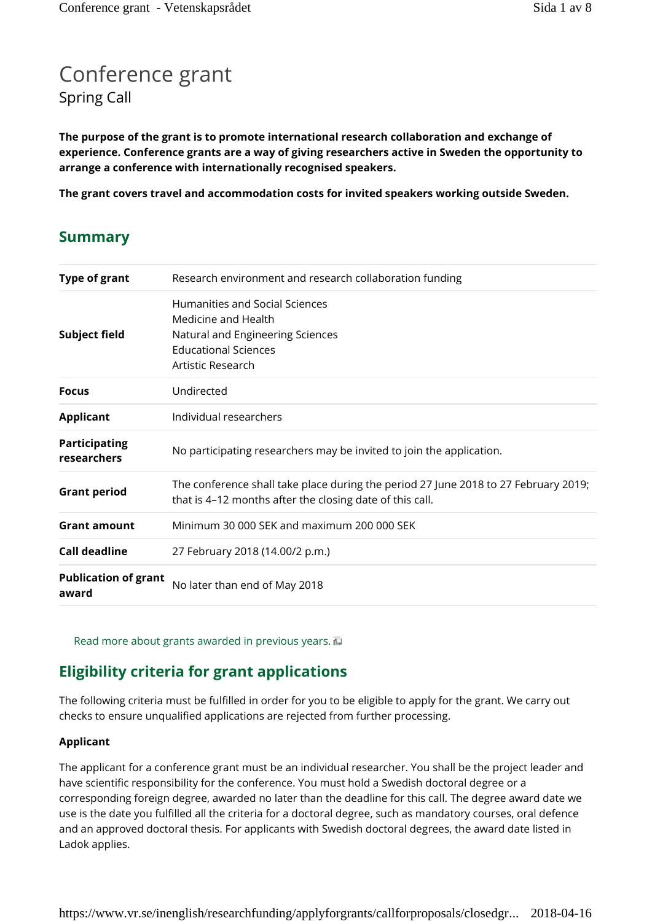# Conference grant Spring Call

**The purpose of the grant is to promote international research collaboration and exchange of experience. Conference grants are a way of giving researchers active in Sweden the opportunity to arrange a conference with internationally recognised speakers.**

**The grant covers travel and accommodation costs for invited speakers working outside Sweden.**

# **Summary**

| <b>Type of grant</b>                 | Research environment and research collaboration funding                                                                                         |
|--------------------------------------|-------------------------------------------------------------------------------------------------------------------------------------------------|
| <b>Subject field</b>                 | Humanities and Social Sciences<br>Medicine and Health<br>Natural and Engineering Sciences<br><b>Educational Sciences</b><br>Artistic Research   |
| <b>Focus</b>                         | Undirected                                                                                                                                      |
| <b>Applicant</b>                     | Individual researchers                                                                                                                          |
| <b>Participating</b><br>researchers  | No participating researchers may be invited to join the application.                                                                            |
| <b>Grant period</b>                  | The conference shall take place during the period 27 June 2018 to 27 February 2019;<br>that is 4-12 months after the closing date of this call. |
| <b>Grant amount</b>                  | Minimum 30 000 SEK and maximum 200 000 SEK                                                                                                      |
| <b>Call deadline</b>                 | 27 February 2018 (14.00/2 p.m.)                                                                                                                 |
| <b>Publication of grant</b><br>award | No later than end of May 2018                                                                                                                   |

Read more about grants awarded in previous years.  $\overline{u}$ 

# **Eligibility criteria for grant applications**

The following criteria must be fulfilled in order for you to be eligible to apply for the grant. We carry out checks to ensure unqualified applications are rejected from further processing.

#### **Applicant**

The applicant for a conference grant must be an individual researcher. You shall be the project leader and have scientific responsibility for the conference. You must hold a Swedish doctoral degree or a corresponding foreign degree, awarded no later than the deadline for this call. The degree award date we use is the date you fulfilled all the criteria for a doctoral degree, such as mandatory courses, oral defence and an approved doctoral thesis. For applicants with Swedish doctoral degrees, the award date listed in Ladok applies.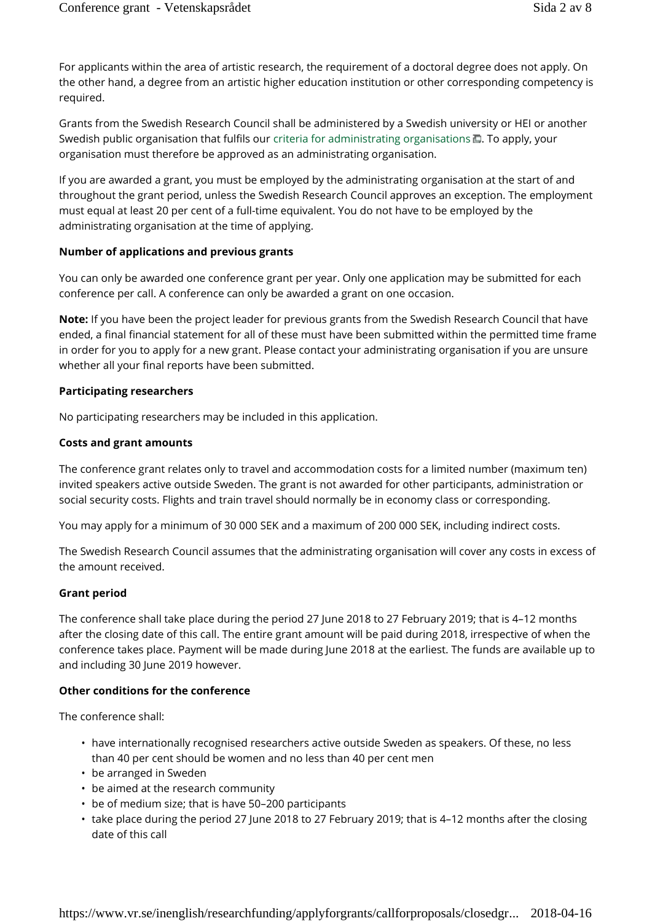For applicants within the area of artistic research, the requirement of a doctoral degree does not apply. On the other hand, a degree from an artistic higher education institution or other corresponding competency is required.

Grants from the Swedish Research Council shall be administered by a Swedish university or HEI or another Swedish public organisation that fulfils our criteria for administrating organisations  $\Box$ . To apply, your organisation must therefore be approved as an administrating organisation.

If you are awarded a grant, you must be employed by the administrating organisation at the start of and throughout the grant period, unless the Swedish Research Council approves an exception. The employment must equal at least 20 per cent of a full-time equivalent. You do not have to be employed by the administrating organisation at the time of applying.

#### **Number of applications and previous grants**

You can only be awarded one conference grant per year. Only one application may be submitted for each conference per call. A conference can only be awarded a grant on one occasion.

**Note:** If you have been the project leader for previous grants from the Swedish Research Council that have ended, a final financial statement for all of these must have been submitted within the permitted time frame in order for you to apply for a new grant. Please contact your administrating organisation if you are unsure whether all your final reports have been submitted.

#### **Participating researchers**

No participating researchers may be included in this application.

#### **Costs and grant amounts**

The conference grant relates only to travel and accommodation costs for a limited number (maximum ten) invited speakers active outside Sweden. The grant is not awarded for other participants, administration or social security costs. Flights and train travel should normally be in economy class or corresponding.

You may apply for a minimum of 30 000 SEK and a maximum of 200 000 SEK, including indirect costs.

The Swedish Research Council assumes that the administrating organisation will cover any costs in excess of the amount received.

#### **Grant period**

The conference shall take place during the period 27 June 2018 to 27 February 2019; that is 4–12 months after the closing date of this call. The entire grant amount will be paid during 2018, irrespective of when the conference takes place. Payment will be made during June 2018 at the earliest. The funds are available up to and including 30 June 2019 however.

#### **Other conditions for the conference**

The conference shall:

- have internationally recognised researchers active outside Sweden as speakers. Of these, no less than 40 per cent should be women and no less than 40 per cent men
- be arranged in Sweden
- be aimed at the research community
- be of medium size; that is have 50–200 participants
- take place during the period 27 June 2018 to 27 February 2019; that is 4–12 months after the closing date of this call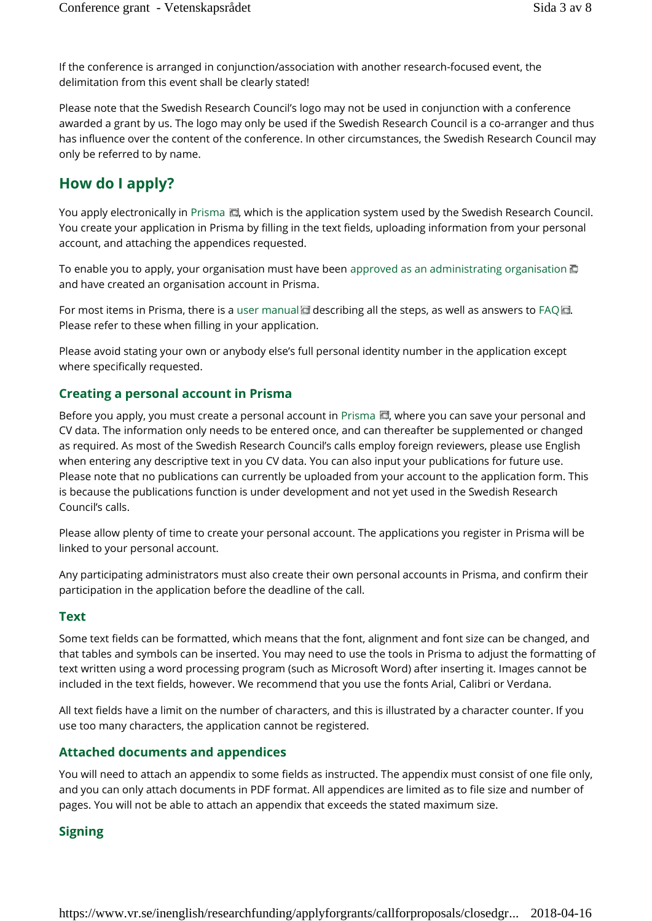If the conference is arranged in conjunction/association with another research-focused event, the delimitation from this event shall be clearly stated!

Please note that the Swedish Research Council's logo may not be used in conjunction with a conference awarded a grant by us. The logo may only be used if the Swedish Research Council is a co-arranger and thus has influence over the content of the conference. In other circumstances, the Swedish Research Council may only be referred to by name.

# **How do I apply?**

You apply electronically in Prisma  $\Box$ , which is the application system used by the Swedish Research Council. You create your application in Prisma by filling in the text fields, uploading information from your personal account, and attaching the appendices requested.

To enable you to apply, your organisation must have been approved as an administrating organisation and have created an organisation account in Prisma.

For most items in Prisma, there is a user manual describing all the steps, as well as answers to FAQ Please refer to these when filling in your application.

Please avoid stating your own or anybody else's full personal identity number in the application except where specifically requested.

## **Creating a personal account in Prisma**

Before you apply, you must create a personal account in Prisma  $\blacksquare$ , where you can save your personal and CV data. The information only needs to be entered once, and can thereafter be supplemented or changed as required. As most of the Swedish Research Council's calls employ foreign reviewers, please use English when entering any descriptive text in you CV data. You can also input your publications for future use. Please note that no publications can currently be uploaded from your account to the application form. This is because the publications function is under development and not yet used in the Swedish Research Council's calls.

Please allow plenty of time to create your personal account. The applications you register in Prisma will be linked to your personal account.

Any participating administrators must also create their own personal accounts in Prisma, and confirm their participation in the application before the deadline of the call.

#### **Text**

Some text fields can be formatted, which means that the font, alignment and font size can be changed, and that tables and symbols can be inserted. You may need to use the tools in Prisma to adjust the formatting of text written using a word processing program (such as Microsoft Word) after inserting it. Images cannot be included in the text fields, however. We recommend that you use the fonts Arial, Calibri or Verdana.

All text fields have a limit on the number of characters, and this is illustrated by a character counter. If you use too many characters, the application cannot be registered.

## **Attached documents and appendices**

You will need to attach an appendix to some fields as instructed. The appendix must consist of one file only, and you can only attach documents in PDF format. All appendices are limited as to file size and number of pages. You will not be able to attach an appendix that exceeds the stated maximum size.

## **Signing**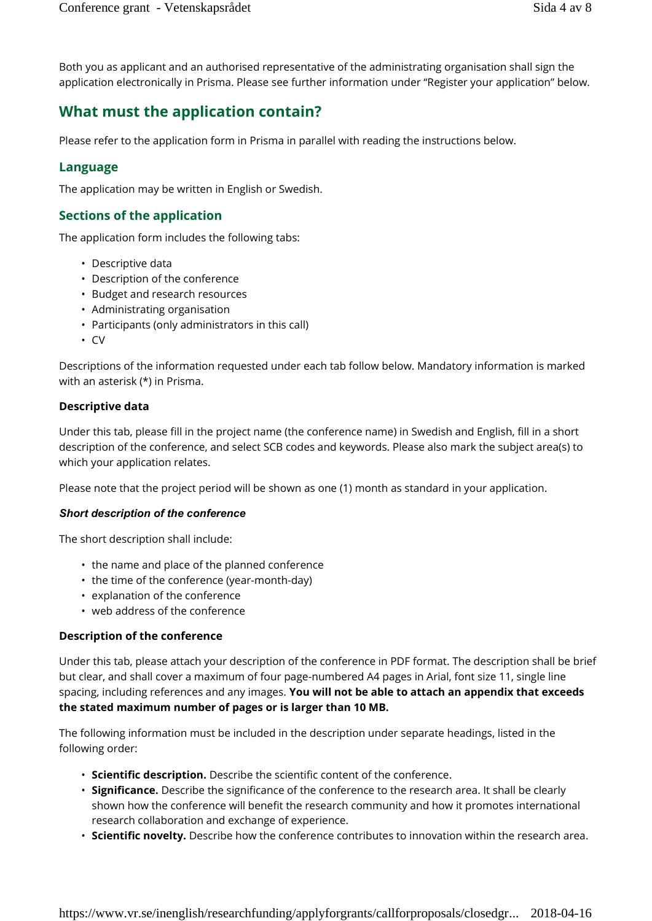Both you as applicant and an authorised representative of the administrating organisation shall sign the application electronically in Prisma. Please see further information under "Register your application" below.

# **What must the application contain?**

Please refer to the application form in Prisma in parallel with reading the instructions below.

## **Language**

The application may be written in English or Swedish.

# **Sections of the application**

The application form includes the following tabs:

- Descriptive data
- Description of the conference
- Budget and research resources
- Administrating organisation
- Participants (only administrators in this call)
- CV

Descriptions of the information requested under each tab follow below. Mandatory information is marked with an asterisk (\*) in Prisma.

#### **Descriptive data**

Under this tab, please fill in the project name (the conference name) in Swedish and English, fill in a short description of the conference, and select SCB codes and keywords. Please also mark the subject area(s) to which your application relates.

Please note that the project period will be shown as one (1) month as standard in your application.

#### *Short description of the conference*

The short description shall include:

- the name and place of the planned conference
- the time of the conference (year-month-day)
- explanation of the conference
- web address of the conference

#### **Description of the conference**

Under this tab, please attach your description of the conference in PDF format. The description shall be brief but clear, and shall cover a maximum of four page-numbered A4 pages in Arial, font size 11, single line spacing, including references and any images. **You will not be able to attach an appendix that exceeds the stated maximum number of pages or is larger than 10 MB.**

The following information must be included in the description under separate headings, listed in the following order:

- **Scientific description.** Describe the scientific content of the conference.
- **Significance.** Describe the significance of the conference to the research area. It shall be clearly shown how the conference will benefit the research community and how it promotes international research collaboration and exchange of experience.
- **Scientific novelty.** Describe how the conference contributes to innovation within the research area.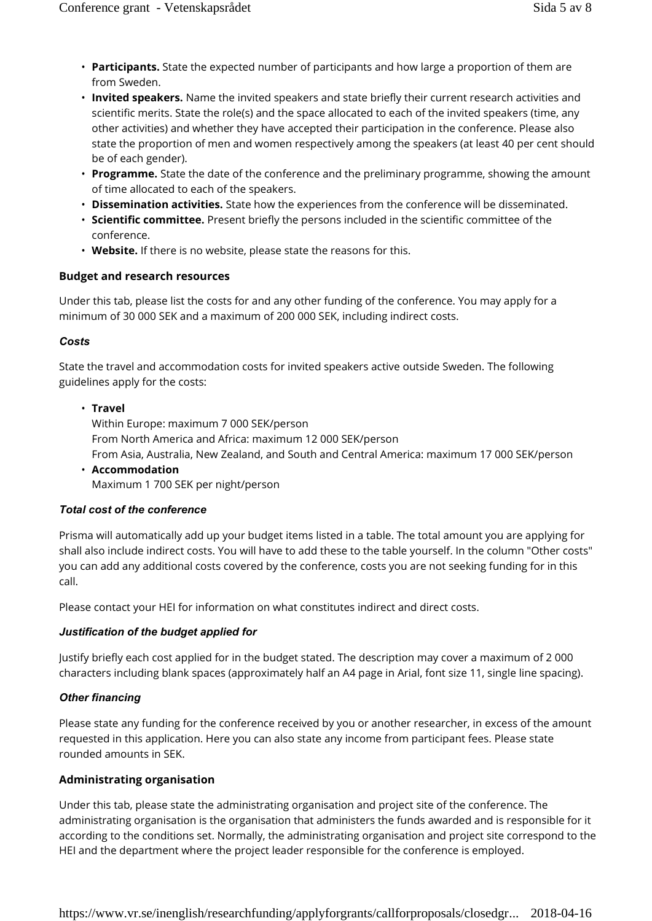- **Participants.** State the expected number of participants and how large a proportion of them are from Sweden.
- **Invited speakers.** Name the invited speakers and state briefly their current research activities and scientific merits. State the role(s) and the space allocated to each of the invited speakers (time, any other activities) and whether they have accepted their participation in the conference. Please also state the proportion of men and women respectively among the speakers (at least 40 per cent should be of each gender).
- **Programme.** State the date of the conference and the preliminary programme, showing the amount of time allocated to each of the speakers.
- **Dissemination activities.** State how the experiences from the conference will be disseminated.
- **Scientific committee.** Present briefly the persons included in the scientific committee of the conference.
- **Website.** If there is no website, please state the reasons for this.

#### **Budget and research resources**

Under this tab, please list the costs for and any other funding of the conference. You may apply for a minimum of 30 000 SEK and a maximum of 200 000 SEK, including indirect costs.

#### *Costs*

State the travel and accommodation costs for invited speakers active outside Sweden. The following guidelines apply for the costs:

#### • **Travel**

Within Europe: maximum 7 000 SEK/person From North America and Africa: maximum 12 000 SEK/person From Asia, Australia, New Zealand, and South and Central America: maximum 17 000 SEK/person • **Accommodation** Maximum 1 700 SEK per night/person

#### *Total cost of the conference*

Prisma will automatically add up your budget items listed in a table. The total amount you are applying for shall also include indirect costs. You will have to add these to the table yourself. In the column "Other costs" you can add any additional costs covered by the conference, costs you are not seeking funding for in this call.

Please contact your HEI for information on what constitutes indirect and direct costs.

#### *Justification of the budget applied for*

Justify briefly each cost applied for in the budget stated. The description may cover a maximum of 2 000 characters including blank spaces (approximately half an A4 page in Arial, font size 11, single line spacing).

#### *Other financing*

Please state any funding for the conference received by you or another researcher, in excess of the amount requested in this application. Here you can also state any income from participant fees. Please state rounded amounts in SEK.

#### **Administrating organisation**

Under this tab, please state the administrating organisation and project site of the conference. The administrating organisation is the organisation that administers the funds awarded and is responsible for it according to the conditions set. Normally, the administrating organisation and project site correspond to the HEI and the department where the project leader responsible for the conference is employed.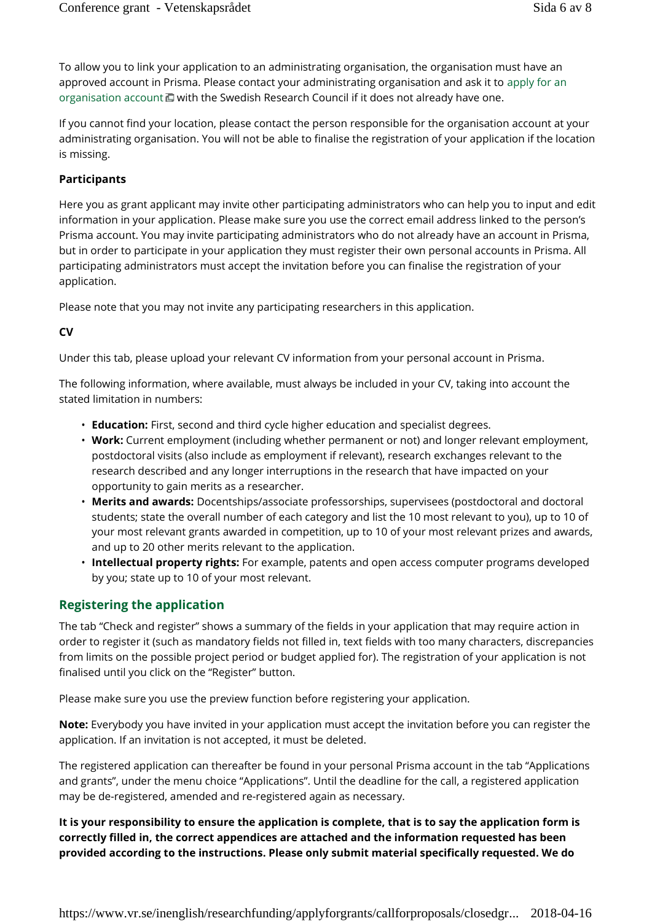To allow you to link your application to an administrating organisation, the organisation must have an approved account in Prisma. Please contact your administrating organisation and ask it to apply for an organisation account  $\Box$  with the Swedish Research Council if it does not already have one.

If you cannot find your location, please contact the person responsible for the organisation account at your administrating organisation. You will not be able to finalise the registration of your application if the location is missing.

#### **Participants**

Here you as grant applicant may invite other participating administrators who can help you to input and edit information in your application. Please make sure you use the correct email address linked to the person's Prisma account. You may invite participating administrators who do not already have an account in Prisma, but in order to participate in your application they must register their own personal accounts in Prisma. All participating administrators must accept the invitation before you can finalise the registration of your application.

Please note that you may not invite any participating researchers in this application.

#### **CV**

Under this tab, please upload your relevant CV information from your personal account in Prisma.

The following information, where available, must always be included in your CV, taking into account the stated limitation in numbers:

- **Education:** First, second and third cycle higher education and specialist degrees.
- **Work:** Current employment (including whether permanent or not) and longer relevant employment, postdoctoral visits (also include as employment if relevant), research exchanges relevant to the research described and any longer interruptions in the research that have impacted on your opportunity to gain merits as a researcher.
- **Merits and awards:** Docentships/associate professorships, supervisees (postdoctoral and doctoral students; state the overall number of each category and list the 10 most relevant to you), up to 10 of your most relevant grants awarded in competition, up to 10 of your most relevant prizes and awards, and up to 20 other merits relevant to the application.
- **Intellectual property rights:** For example, patents and open access computer programs developed by you; state up to 10 of your most relevant.

# **Registering the application**

The tab "Check and register" shows a summary of the fields in your application that may require action in order to register it (such as mandatory fields not filled in, text fields with too many characters, discrepancies from limits on the possible project period or budget applied for). The registration of your application is not finalised until you click on the "Register" button.

Please make sure you use the preview function before registering your application.

**Note:** Everybody you have invited in your application must accept the invitation before you can register the application. If an invitation is not accepted, it must be deleted.

The registered application can thereafter be found in your personal Prisma account in the tab "Applications and grants", under the menu choice "Applications". Until the deadline for the call, a registered application may be de-registered, amended and re-registered again as necessary.

**It is your responsibility to ensure the application is complete, that is to say the application form is correctly filled in, the correct appendices are attached and the information requested has been provided according to the instructions. Please only submit material specifically requested. We do**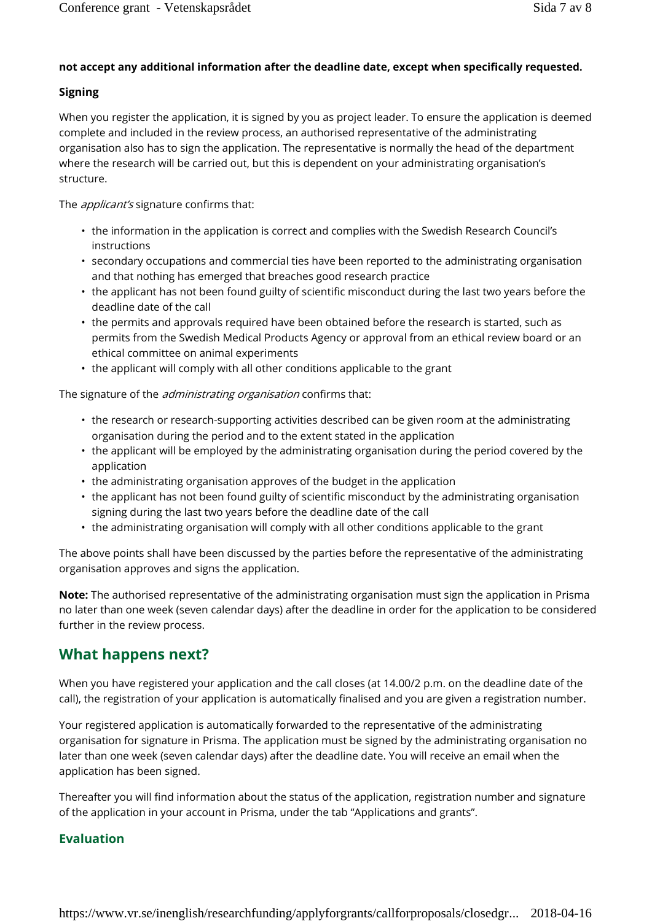### **not accept any additional information after the deadline date, except when specifically requested.**

#### **Signing**

When you register the application, it is signed by you as project leader. To ensure the application is deemed complete and included in the review process, an authorised representative of the administrating organisation also has to sign the application. The representative is normally the head of the department where the research will be carried out, but this is dependent on your administrating organisation's structure.

The *applicant's* signature confirms that:

- the information in the application is correct and complies with the Swedish Research Council's instructions
- secondary occupations and commercial ties have been reported to the administrating organisation and that nothing has emerged that breaches good research practice
- the applicant has not been found guilty of scientific misconduct during the last two years before the deadline date of the call
- the permits and approvals required have been obtained before the research is started, such as permits from the Swedish Medical Products Agency or approval from an ethical review board or an ethical committee on animal experiments
- the applicant will comply with all other conditions applicable to the grant

The signature of the *administrating organisation* confirms that:

- the research or research-supporting activities described can be given room at the administrating organisation during the period and to the extent stated in the application
- the applicant will be employed by the administrating organisation during the period covered by the application
- the administrating organisation approves of the budget in the application
- the applicant has not been found guilty of scientific misconduct by the administrating organisation signing during the last two years before the deadline date of the call
- the administrating organisation will comply with all other conditions applicable to the grant

The above points shall have been discussed by the parties before the representative of the administrating organisation approves and signs the application.

**Note:** The authorised representative of the administrating organisation must sign the application in Prisma no later than one week (seven calendar days) after the deadline in order for the application to be considered further in the review process.

# **What happens next?**

When you have registered your application and the call closes (at 14.00/2 p.m. on the deadline date of the call), the registration of your application is automatically finalised and you are given a registration number.

Your registered application is automatically forwarded to the representative of the administrating organisation for signature in Prisma. The application must be signed by the administrating organisation no later than one week (seven calendar days) after the deadline date. You will receive an email when the application has been signed.

Thereafter you will find information about the status of the application, registration number and signature of the application in your account in Prisma, under the tab "Applications and grants".

## **Evaluation**